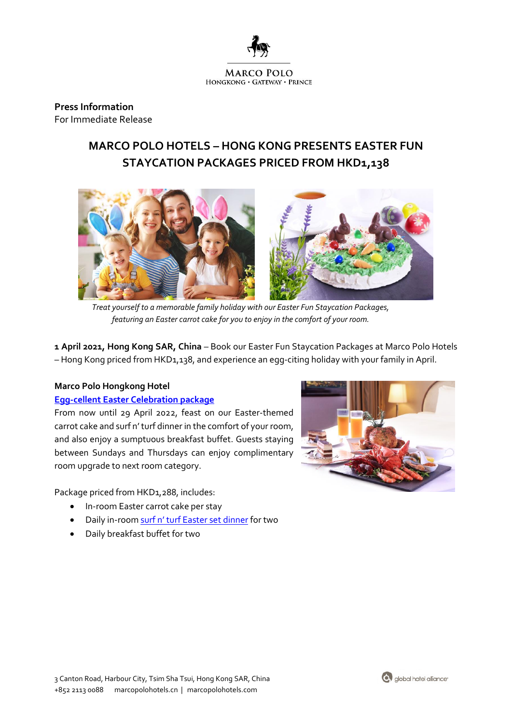

**Press Information** For Immediate Release

# **MARCO POLO HOTELS – HONG KONG PRESENTS EASTER FUN STAYCATION PACKAGES PRICED FROM HKD1,138**



*Treat yourself to a memorable family holiday with our Easter Fun Staycation Packages, featuring an Easter carrot cake for you to enjoy in the comfort of your room.*

**1 April 2021, Hong Kong SAR, China** *–* Book our Easter Fun Staycation Packages at Marco Polo Hotels – Hong Kong priced from HKD1,138, and experience an egg-citing holiday with your family in April.

# **Marco Polo Hongkong Hotel**

### **[Egg-cellent Easter Celebration package](https://bit.ly/3LrMCja)**

From now until 29 April 2022, feast on our Easter-themed carrot cake and surf n' turf dinner in the comfort of your room, and also enjoy a sumptuous breakfast buffet. Guests staying between Sundays and Thursdays can enjoy complimentary room upgrade to next room category.

Package priced from HKD1,288, includes:

- In-room Easter carrot cake per stay
- Daily in-room [surf n' turf Easter set](https://www.marcopolohotels.com/media/images/marco_polo/hotels/hongkong/kowloon/marco_polo_hongkong/hotel_offers/easter-menu_mar-2022.jpg) dinner for two
- Daily breakfast buffet for two



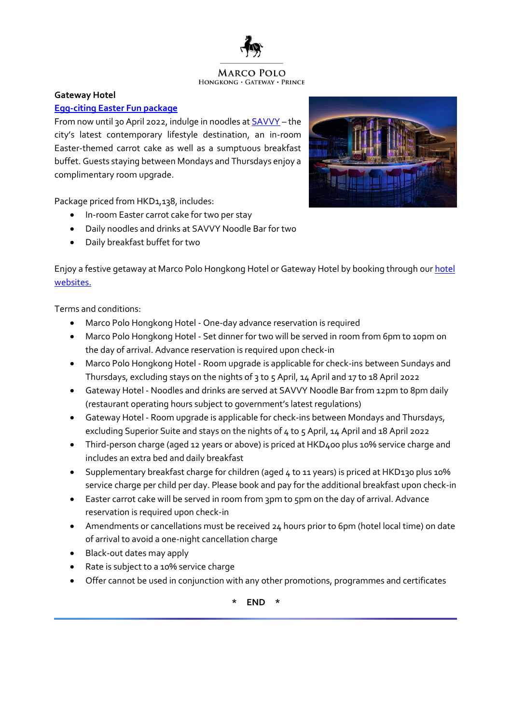

#### **MARCO POLO** HONGKONG · GATEWAY · PRINCE

#### **Gateway Hotel**

## **[Egg-citing Easter Fun](https://bit.ly/3tX7idd) package**

From now until 30 April 2022, indulge in noodles at **SAVVY** - the city's latest contemporary lifestyle destination, an in-room Easter-themed carrot cake as well as a sumptuous breakfast buffet. Guests staying between Mondays and Thursdays enjoy a complimentary room upgrade.

Package priced from HKD1,138, includes:

- In-room Easter carrot cake for two per stay
- Daily noodles and drinks at SAVVY Noodle Bar for two
- Daily breakfast buffet for two



Enjoy a festive getaway at Marco Polo Hongkong Hotel or Gateway Hotel by booking through ou[r hotel](https://www.marcopolohotels.com/en/index.html)  [websites.](https://www.marcopolohotels.com/en/index.html)

Terms and conditions:

- Marco Polo Hongkong Hotel One-day advance reservation is required
- Marco Polo Hongkong Hotel Set dinner for two will be served in room from 6pm to 10pm on the day of arrival. Advance reservation is required upon check-in
- Marco Polo Hongkong Hotel Room upgrade is applicable for check-ins between Sundays and Thursdays, excluding stays on the nights of 3 to 5 April, 14 April and 17 to 18 April 2022
- Gateway Hotel Noodles and drinks are served at SAVVY Noodle Bar from 12pm to 8pm daily (restaurant operating hours subject to government's latest regulations)
- Gateway Hotel Room upgrade is applicable for check-ins between Mondays and Thursdays, excluding Superior Suite and stays on the nights of 4 to 5 April, 14 April and 18 April 2022
- Third-person charge (aged 12 years or above) is priced at HKD400 plus 10% service charge and includes an extra bed and daily breakfast
- Supplementary breakfast charge for children (aged 4 to 11 years) is priced at HKD130 plus 10% service charge per child per day. Please book and pay for the additional breakfast upon check-in
- Easter carrot cake will be served in room from 3pm to 5pm on the day of arrival. Advance reservation is required upon check-in
- Amendments or cancellations must be received 24 hours prior to 6pm (hotel local time) on date of arrival to avoid a one-night cancellation charge
- Black-out dates may apply
- Rate is subject to a 10% service charge
- Offer cannot be used in conjunction with any other promotions, programmes and certificates

**\* END \***